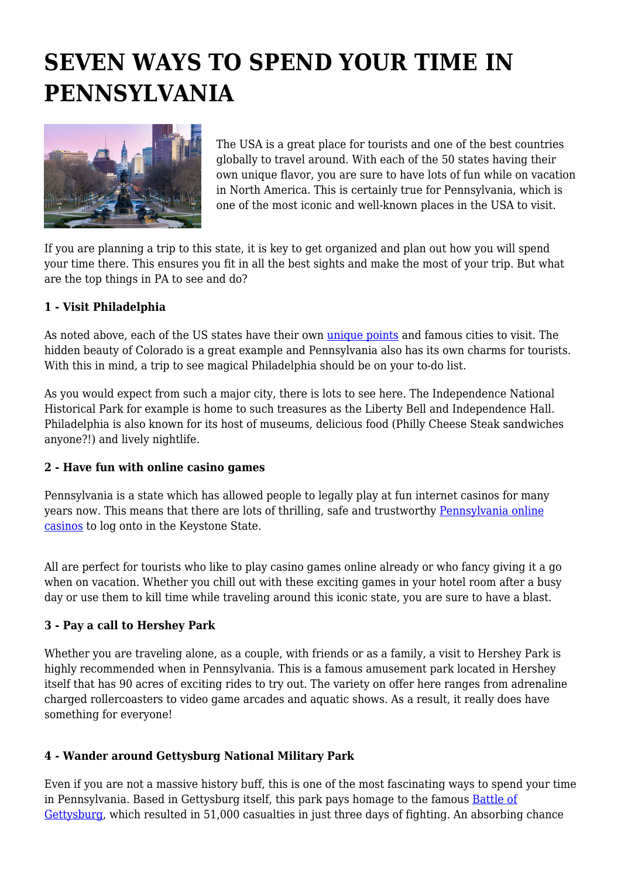# **SEVEN WAYS TO SPEND YOUR TIME IN PENNSYLVANIA**



The USA is a great place for tourists and one of the best countries globally to travel around. With each of the 50 states having their own unique flavor, you are sure to have lots of fun while on vacation in North America. This is certainly true for Pennsylvania, which is one of the most iconic and well-known places in the USA to visit.

If you are planning a trip to this state, it is key to get organized and plan out how you will spend your time there. This ensures you fit in all the best sights and make the most of your trip. But what are the top things in PA to see and do?

#### **1 - Visit Philadelphia**

As noted above, each of the US states have their own [unique points](https://www.tourism-review.com/us-domestic-tourism-is-finally-going-up-news12031) and famous cities to visit. The hidden beauty of Colorado is a great example and Pennsylvania also has its own charms for tourists. With this in mind, a trip to see magical Philadelphia should be on your to-do list.

As you would expect from such a major city, there is lots to see here. The Independence National Historical Park for example is home to such treasures as the Liberty Bell and Independence Hall. Philadelphia is also known for its host of museums, delicious food (Philly Cheese Steak sandwiches anyone?!) and lively nightlife.

# **2 - Have fun with online casino games**

Pennsylvania is a state which has allowed people to legally play at fun internet casinos for many years now. This means that there are lots of thrilling, safe and trustworthy [Pennsylvania online](https://time2play.com/casinos/pennsylvania/) [casinos](https://time2play.com/casinos/pennsylvania/) to log onto in the Keystone State.

All are perfect for tourists who like to play casino games online already or who fancy giving it a go when on vacation. Whether you chill out with these exciting games in your hotel room after a busy day or use them to kill time while traveling around this iconic state, you are sure to have a blast.

# **3 - Pay a call to Hershey Park**

Whether you are traveling alone, as a couple, with friends or as a family, a visit to Hershey Park is highly recommended when in Pennsylvania. This is a famous amusement park located in Hershey itself that has 90 acres of exciting rides to try out. The variety on offer here ranges from adrenaline charged rollercoasters to video game arcades and aquatic shows. As a result, it really does have something for everyone!

# **4 - Wander around Gettysburg National Military Park**

Even if you are not a massive history buff, this is one of the most fascinating ways to spend your time in Pennsylvania. Based in Gettysburg itself, this park pays homage to the famous [Battle of](https://www.history.com/topics/american-civil-war/battle-of-gettysburg) [Gettysburg,](https://www.history.com/topics/american-civil-war/battle-of-gettysburg) which resulted in 51,000 casualties in just three days of fighting. An absorbing chance